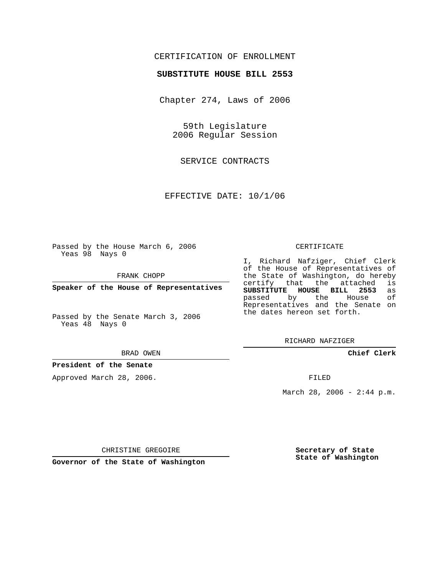# CERTIFICATION OF ENROLLMENT

## **SUBSTITUTE HOUSE BILL 2553**

Chapter 274, Laws of 2006

59th Legislature 2006 Regular Session

SERVICE CONTRACTS

EFFECTIVE DATE: 10/1/06

Passed by the House March 6, 2006 Yeas 98 Nays 0

FRANK CHOPP

**Speaker of the House of Representatives**

Passed by the Senate March 3, 2006 Yeas 48 Nays 0

#### BRAD OWEN

## **President of the Senate**

Approved March 28, 2006.

#### CERTIFICATE

I, Richard Nafziger, Chief Clerk of the House of Representatives of the State of Washington, do hereby<br>certify that the attached is certify that the attached **SUBSTITUTE HOUSE BILL 2553** as passed by the House Representatives and the Senate on the dates hereon set forth.

RICHARD NAFZIGER

**Chief Clerk**

FILED

March 28, 2006 -  $2:44$  p.m.

CHRISTINE GREGOIRE

**Governor of the State of Washington**

**Secretary of State State of Washington**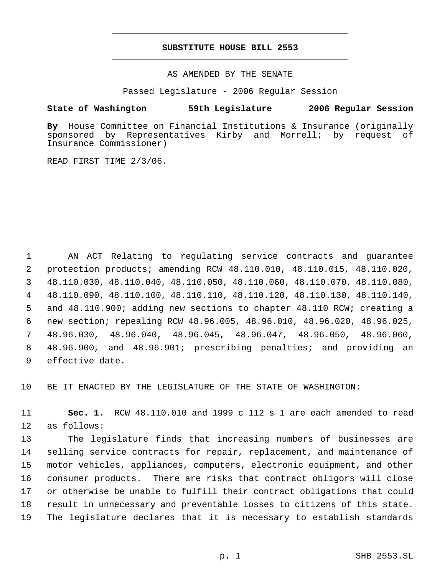# **SUBSTITUTE HOUSE BILL 2553** \_\_\_\_\_\_\_\_\_\_\_\_\_\_\_\_\_\_\_\_\_\_\_\_\_\_\_\_\_\_\_\_\_\_\_\_\_\_\_\_\_\_\_\_\_

\_\_\_\_\_\_\_\_\_\_\_\_\_\_\_\_\_\_\_\_\_\_\_\_\_\_\_\_\_\_\_\_\_\_\_\_\_\_\_\_\_\_\_\_\_

AS AMENDED BY THE SENATE

Passed Legislature - 2006 Regular Session

## **State of Washington 59th Legislature 2006 Regular Session**

**By** House Committee on Financial Institutions & Insurance (originally sponsored by Representatives Kirby and Morrell; by request of Insurance Commissioner)

READ FIRST TIME 2/3/06.

 AN ACT Relating to regulating service contracts and guarantee protection products; amending RCW 48.110.010, 48.110.015, 48.110.020, 48.110.030, 48.110.040, 48.110.050, 48.110.060, 48.110.070, 48.110.080, 48.110.090, 48.110.100, 48.110.110, 48.110.120, 48.110.130, 48.110.140, and 48.110.900; adding new sections to chapter 48.110 RCW; creating a new section; repealing RCW 48.96.005, 48.96.010, 48.96.020, 48.96.025, 48.96.030, 48.96.040, 48.96.045, 48.96.047, 48.96.050, 48.96.060, 48.96.900, and 48.96.901; prescribing penalties; and providing an effective date.

10 BE IT ENACTED BY THE LEGISLATURE OF THE STATE OF WASHINGTON:

11 **Sec. 1.** RCW 48.110.010 and 1999 c 112 s 1 are each amended to read 12 as follows:

 The legislature finds that increasing numbers of businesses are selling service contracts for repair, replacement, and maintenance of 15 motor vehicles, appliances, computers, electronic equipment, and other consumer products. There are risks that contract obligors will close or otherwise be unable to fulfill their contract obligations that could result in unnecessary and preventable losses to citizens of this state. The legislature declares that it is necessary to establish standards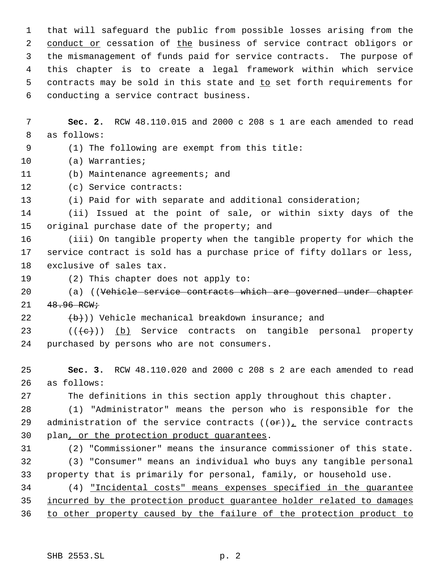that will safeguard the public from possible losses arising from the 2 conduct or cessation of the business of service contract obligors or the mismanagement of funds paid for service contracts. The purpose of this chapter is to create a legal framework within which service 5 contracts may be sold in this state and to set forth requirements for conducting a service contract business.

 **Sec. 2.** RCW 48.110.015 and 2000 c 208 s 1 are each amended to read as follows:

 (1) The following are exempt from this title: (a) Warranties;

- 
- (b) Maintenance agreements; and

(c) Service contracts:

(i) Paid for with separate and additional consideration;

 (ii) Issued at the point of sale, or within sixty days of the original purchase date of the property; and

 (iii) On tangible property when the tangible property for which the service contract is sold has a purchase price of fifty dollars or less, exclusive of sales tax.

(2) This chapter does not apply to:

20 (a) ((Vehicle service contracts which are governed under chapter  $21 \t 48.96 \t RCW$ 

22  $(\frac{b}{b})$ ) Vehicle mechanical breakdown insurance; and

23  $((\langle e \rangle)(b)$  Service contracts on tangible personal property purchased by persons who are not consumers.

 **Sec. 3.** RCW 48.110.020 and 2000 c 208 s 2 are each amended to read as follows:

The definitions in this section apply throughout this chapter.

 (1) "Administrator" means the person who is responsible for the 29 administration of the service contracts  $((\theta \hat{r}))_L$  the service contracts plan, or the protection product guarantees.

 (2) "Commissioner" means the insurance commissioner of this state. (3) "Consumer" means an individual who buys any tangible personal property that is primarily for personal, family, or household use.

 (4) "Incidental costs" means expenses specified in the guarantee incurred by the protection product guarantee holder related to damages to other property caused by the failure of the protection product to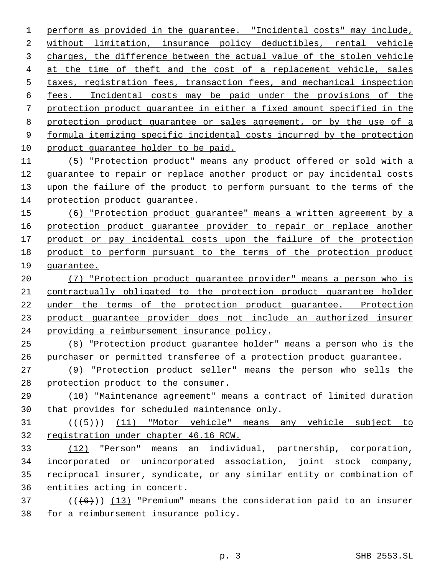perform as provided in the guarantee. "Incidental costs" may include, without limitation, insurance policy deductibles, rental vehicle charges, the difference between the actual value of the stolen vehicle at the time of theft and the cost of a replacement vehicle, sales taxes, registration fees, transaction fees, and mechanical inspection fees. Incidental costs may be paid under the provisions of the protection product guarantee in either a fixed amount specified in the protection product guarantee or sales agreement, or by the use of a formula itemizing specific incidental costs incurred by the protection 10 product guarantee holder to be paid.

 (5) "Protection product" means any product offered or sold with a 12 guarantee to repair or replace another product or pay incidental costs upon the failure of the product to perform pursuant to the terms of the protection product guarantee.

 (6) "Protection product guarantee" means a written agreement by a protection product guarantee provider to repair or replace another 17 product or pay incidental costs upon the failure of the protection product to perform pursuant to the terms of the protection product guarantee.

 (7) "Protection product guarantee provider" means a person who is contractually obligated to the protection product guarantee holder under the terms of the protection product guarantee. Protection product guarantee provider does not include an authorized insurer providing a reimbursement insurance policy.

 (8) "Protection product guarantee holder" means a person who is the purchaser or permitted transferee of a protection product guarantee.

 (9) "Protection product seller" means the person who sells the protection product to the consumer.

 (10) "Maintenance agreement" means a contract of limited duration that provides for scheduled maintenance only.

31 (((5)) (11) "Motor vehicle" means any vehicle subject to registration under chapter 46.16 RCW.

 (12) "Person" means an individual, partnership, corporation, incorporated or unincorporated association, joint stock company, reciprocal insurer, syndicate, or any similar entity or combination of entities acting in concert.

37 ( $(\overline{6})$ ) (13) "Premium" means the consideration paid to an insurer for a reimbursement insurance policy.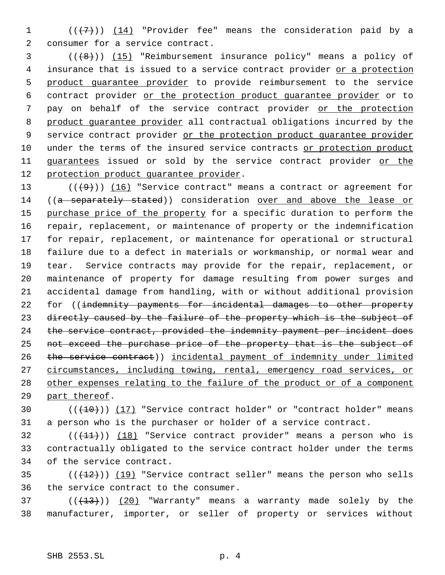1  $((+7))$   $(14)$  "Provider fee" means the consideration paid by a 2 consumer for a service contract.

 $(1,8)$  (( $(8)$ )) (15) "Reimbursement insurance policy" means a policy of 4 insurance that is issued to a service contract provider or a protection 5 product guarantee provider to provide reimbursement to the service 6 contract provider or the protection product guarantee provider or to 7 pay on behalf of the service contract provider or the protection 8 product quarantee provider all contractual obligations incurred by the 9 service contract provider or the protection product guarantee provider 10 under the terms of the insured service contracts or protection product 11 guarantees issued or sold by the service contract provider or the 12 protection product guarantee provider.

 $((+9))$   $(16)$  "Service contract" means a contract or agreement for 14 ((a separately stated)) consideration over and above the lease or 15 purchase price of the property for a specific duration to perform the repair, replacement, or maintenance of property or the indemnification for repair, replacement, or maintenance for operational or structural failure due to a defect in materials or workmanship, or normal wear and tear. Service contracts may provide for the repair, replacement, or maintenance of property for damage resulting from power surges and accidental damage from handling, with or without additional provision 22 for ((indemnity payments for incidental damages to other property 23 directly caused by the failure of the property which is the subject of the service contract, provided the indemnity payment per incident does not exceed the purchase price of the property that is the subject of the service contract)) incidental payment of indemnity under limited circumstances, including towing, rental, emergency road services, or 28 other expenses relating to the failure of the product or of a component part thereof.

30  $((+10))$   $(17)$  "Service contract holder" or "contract holder" means 31 a person who is the purchaser or holder of a service contract.

 $32$  (( $(11)$ )) (18) "Service contract provider" means a person who is 33 contractually obligated to the service contract holder under the terms 34 of the service contract.

 $(1, 12)$  ( $(1, 12)$ ) "Service contract seller" means the person who sells 36 the service contract to the consumer.

 $37$  ( $(\overline{+13})$ )  $(20)$  "Warranty" means a warranty made solely by the 38 manufacturer, importer, or seller of property or services without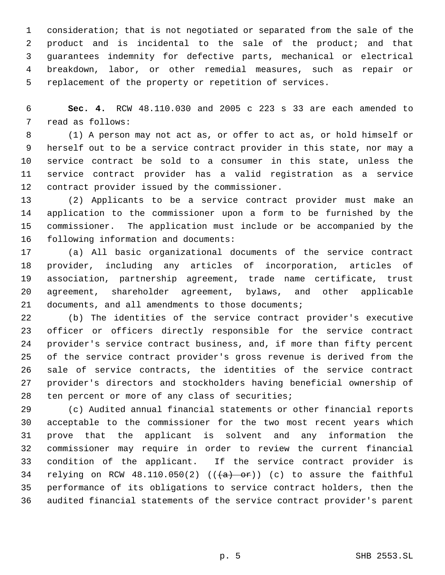consideration; that is not negotiated or separated from the sale of the product and is incidental to the sale of the product; and that guarantees indemnity for defective parts, mechanical or electrical breakdown, labor, or other remedial measures, such as repair or replacement of the property or repetition of services.

 **Sec. 4.** RCW 48.110.030 and 2005 c 223 s 33 are each amended to read as follows:

 (1) A person may not act as, or offer to act as, or hold himself or herself out to be a service contract provider in this state, nor may a service contract be sold to a consumer in this state, unless the service contract provider has a valid registration as a service contract provider issued by the commissioner.

 (2) Applicants to be a service contract provider must make an application to the commissioner upon a form to be furnished by the commissioner. The application must include or be accompanied by the following information and documents:

 (a) All basic organizational documents of the service contract provider, including any articles of incorporation, articles of association, partnership agreement, trade name certificate, trust agreement, shareholder agreement, bylaws, and other applicable documents, and all amendments to those documents;

 (b) The identities of the service contract provider's executive officer or officers directly responsible for the service contract provider's service contract business, and, if more than fifty percent of the service contract provider's gross revenue is derived from the sale of service contracts, the identities of the service contract provider's directors and stockholders having beneficial ownership of ten percent or more of any class of securities;

 (c) Audited annual financial statements or other financial reports acceptable to the commissioner for the two most recent years which prove that the applicant is solvent and any information the commissioner may require in order to review the current financial condition of the applicant. If the service contract provider is 34 relying on RCW 48.110.050(2)  $((+a)$  or)) (c) to assure the faithful performance of its obligations to service contract holders, then the audited financial statements of the service contract provider's parent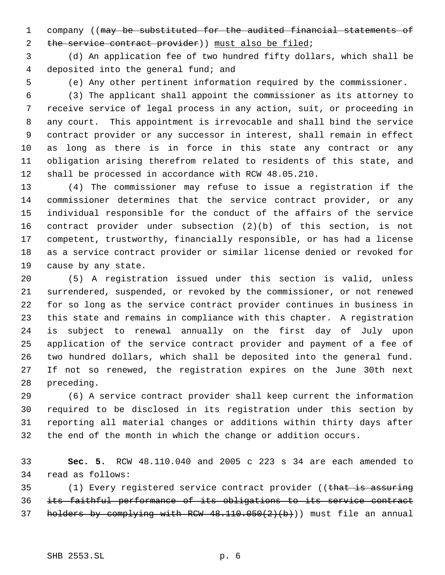1 company ((may be substituted for the audited financial statements of 2 the service contract provider)) must also be filed;

 (d) An application fee of two hundred fifty dollars, which shall be deposited into the general fund; and

(e) Any other pertinent information required by the commissioner.

 (3) The applicant shall appoint the commissioner as its attorney to receive service of legal process in any action, suit, or proceeding in any court. This appointment is irrevocable and shall bind the service contract provider or any successor in interest, shall remain in effect as long as there is in force in this state any contract or any obligation arising therefrom related to residents of this state, and shall be processed in accordance with RCW 48.05.210.

 (4) The commissioner may refuse to issue a registration if the commissioner determines that the service contract provider, or any individual responsible for the conduct of the affairs of the service contract provider under subsection (2)(b) of this section, is not competent, trustworthy, financially responsible, or has had a license as a service contract provider or similar license denied or revoked for cause by any state.

 (5) A registration issued under this section is valid, unless surrendered, suspended, or revoked by the commissioner, or not renewed for so long as the service contract provider continues in business in this state and remains in compliance with this chapter. A registration is subject to renewal annually on the first day of July upon application of the service contract provider and payment of a fee of two hundred dollars, which shall be deposited into the general fund. If not so renewed, the registration expires on the June 30th next preceding.

 (6) A service contract provider shall keep current the information required to be disclosed in its registration under this section by reporting all material changes or additions within thirty days after the end of the month in which the change or addition occurs.

 **Sec. 5.** RCW 48.110.040 and 2005 c 223 s 34 are each amended to read as follows:

35 (1) Every registered service contract provider ((that is assuring its faithful performance of its obligations to its service contract 37 holders by complying with RCW  $48.110.050(2)(b)$ ) must file an annual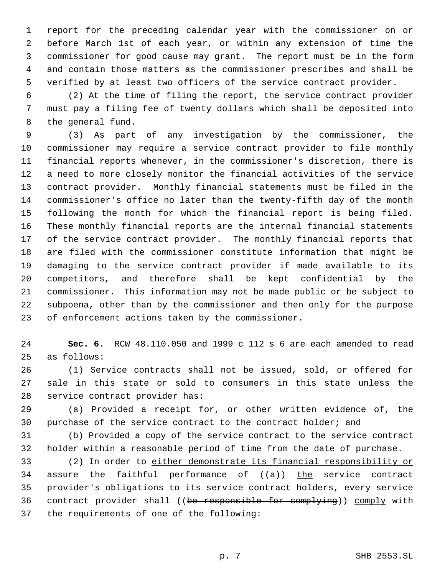report for the preceding calendar year with the commissioner on or before March 1st of each year, or within any extension of time the commissioner for good cause may grant. The report must be in the form and contain those matters as the commissioner prescribes and shall be verified by at least two officers of the service contract provider.

 (2) At the time of filing the report, the service contract provider must pay a filing fee of twenty dollars which shall be deposited into the general fund.

 (3) As part of any investigation by the commissioner, the commissioner may require a service contract provider to file monthly financial reports whenever, in the commissioner's discretion, there is a need to more closely monitor the financial activities of the service contract provider. Monthly financial statements must be filed in the commissioner's office no later than the twenty-fifth day of the month following the month for which the financial report is being filed. These monthly financial reports are the internal financial statements of the service contract provider. The monthly financial reports that are filed with the commissioner constitute information that might be damaging to the service contract provider if made available to its competitors, and therefore shall be kept confidential by the commissioner. This information may not be made public or be subject to subpoena, other than by the commissioner and then only for the purpose of enforcement actions taken by the commissioner.

 **Sec. 6.** RCW 48.110.050 and 1999 c 112 s 6 are each amended to read as follows:

 (1) Service contracts shall not be issued, sold, or offered for sale in this state or sold to consumers in this state unless the service contract provider has:

 (a) Provided a receipt for, or other written evidence of, the purchase of the service contract to the contract holder; and

 (b) Provided a copy of the service contract to the service contract holder within a reasonable period of time from the date of purchase.

 (2) In order to either demonstrate its financial responsibility or 34 assure the faithful performance of  $((a))$  the service contract provider's obligations to its service contract holders, every service contract provider shall ((be responsible for complying)) comply with the requirements of one of the following: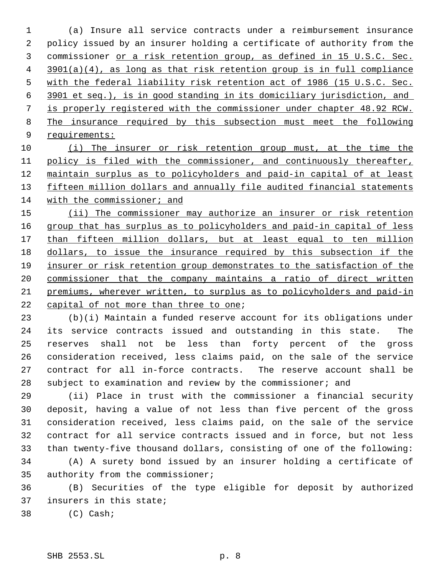(a) Insure all service contracts under a reimbursement insurance policy issued by an insurer holding a certificate of authority from the commissioner or a risk retention group, as defined in 15 U.S.C. Sec. 3901(a)(4), as long as that risk retention group is in full compliance with the federal liability risk retention act of 1986 (15 U.S.C. Sec. 3901 et seq.), is in good standing in its domiciliary jurisdiction, and is properly registered with the commissioner under chapter 48.92 RCW. The insurance required by this subsection must meet the following requirements:

 (i) The insurer or risk retention group must, at the time the 11 policy is filed with the commissioner, and continuously thereafter, maintain surplus as to policyholders and paid-in capital of at least 13 fifteen million dollars and annually file audited financial statements 14 with the commissioner; and

15 (ii) The commissioner may authorize an insurer or risk retention 16 group that has surplus as to policyholders and paid-in capital of less 17 than fifteen million dollars, but at least equal to ten million dollars, to issue the insurance required by this subsection if the insurer or risk retention group demonstrates to the satisfaction of the commissioner that the company maintains a ratio of direct written premiums, wherever written, to surplus as to policyholders and paid-in capital of not more than three to one;

 (b)(i) Maintain a funded reserve account for its obligations under its service contracts issued and outstanding in this state. The reserves shall not be less than forty percent of the gross consideration received, less claims paid, on the sale of the service contract for all in-force contracts. The reserve account shall be subject to examination and review by the commissioner; and

 (ii) Place in trust with the commissioner a financial security deposit, having a value of not less than five percent of the gross consideration received, less claims paid, on the sale of the service contract for all service contracts issued and in force, but not less than twenty-five thousand dollars, consisting of one of the following:

 (A) A surety bond issued by an insurer holding a certificate of authority from the commissioner;

 (B) Securities of the type eligible for deposit by authorized insurers in this state;

(C) Cash;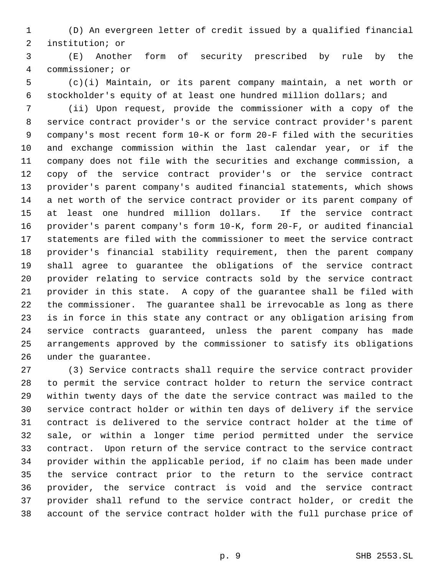(D) An evergreen letter of credit issued by a qualified financial institution; or

 (E) Another form of security prescribed by rule by the commissioner; or

 (c)(i) Maintain, or its parent company maintain, a net worth or stockholder's equity of at least one hundred million dollars; and

 (ii) Upon request, provide the commissioner with a copy of the service contract provider's or the service contract provider's parent company's most recent form 10-K or form 20-F filed with the securities and exchange commission within the last calendar year, or if the company does not file with the securities and exchange commission, a copy of the service contract provider's or the service contract provider's parent company's audited financial statements, which shows a net worth of the service contract provider or its parent company of at least one hundred million dollars. If the service contract provider's parent company's form 10-K, form 20-F, or audited financial statements are filed with the commissioner to meet the service contract provider's financial stability requirement, then the parent company shall agree to guarantee the obligations of the service contract provider relating to service contracts sold by the service contract provider in this state. A copy of the guarantee shall be filed with the commissioner. The guarantee shall be irrevocable as long as there is in force in this state any contract or any obligation arising from service contracts guaranteed, unless the parent company has made arrangements approved by the commissioner to satisfy its obligations under the guarantee.

 (3) Service contracts shall require the service contract provider to permit the service contract holder to return the service contract within twenty days of the date the service contract was mailed to the service contract holder or within ten days of delivery if the service contract is delivered to the service contract holder at the time of sale, or within a longer time period permitted under the service contract. Upon return of the service contract to the service contract provider within the applicable period, if no claim has been made under the service contract prior to the return to the service contract provider, the service contract is void and the service contract provider shall refund to the service contract holder, or credit the account of the service contract holder with the full purchase price of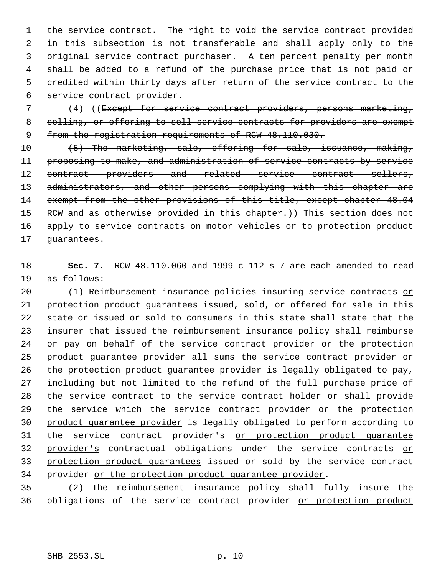the service contract. The right to void the service contract provided in this subsection is not transferable and shall apply only to the original service contract purchaser. A ten percent penalty per month shall be added to a refund of the purchase price that is not paid or credited within thirty days after return of the service contract to the service contract provider.

 7 (4) ((Except for service contract providers, persons marketing, 8 selling, or offering to sell service contracts for providers are exempt 9 from the registration requirements of RCW 48.110.030.

10 (5) The marketing, sale, offering for sale, issuance, making, 11 proposing to make, and administration of service contracts by service 12 contract providers and related service contract sellers, 13 administrators, and other persons complying with this chapter are 14 exempt from the other provisions of this title, except chapter 48.04 15 RCW and as otherwise provided in this chapter.)) This section does not 16 apply to service contracts on motor vehicles or to protection product 17 guarantees.

18 **Sec. 7.** RCW 48.110.060 and 1999 c 112 s 7 are each amended to read 19 as follows:

20 (1) Reimbursement insurance policies insuring service contracts or 21 protection product quarantees issued, sold, or offered for sale in this 22 state or issued or sold to consumers in this state shall state that the 23 insurer that issued the reimbursement insurance policy shall reimburse 24 or pay on behalf of the service contract provider or the protection 25 product guarantee provider all sums the service contract provider or 26 the protection product quarantee provider is legally obligated to pay, 27 including but not limited to the refund of the full purchase price of 28 the service contract to the service contract holder or shall provide 29 the service which the service contract provider or the protection 30 product guarantee provider is legally obligated to perform according to 31 the service contract provider's or protection product quarantee 32 provider's contractual obligations under the service contracts or 33 protection product guarantees issued or sold by the service contract 34 provider or the protection product quarantee provider.

35 (2) The reimbursement insurance policy shall fully insure the 36 obligations of the service contract provider or protection product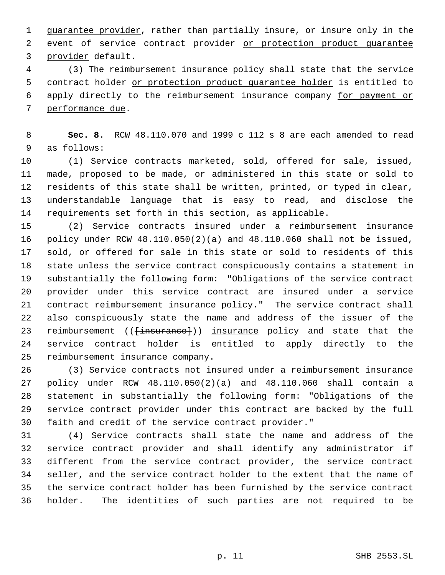guarantee provider, rather than partially insure, or insure only in the 2 event of service contract provider or protection product quarantee provider default.

 (3) The reimbursement insurance policy shall state that the service 5 contract holder or protection product quarantee holder is entitled to apply directly to the reimbursement insurance company for payment or performance due.

 **Sec. 8.** RCW 48.110.070 and 1999 c 112 s 8 are each amended to read as follows:

 (1) Service contracts marketed, sold, offered for sale, issued, made, proposed to be made, or administered in this state or sold to residents of this state shall be written, printed, or typed in clear, understandable language that is easy to read, and disclose the requirements set forth in this section, as applicable.

 (2) Service contracts insured under a reimbursement insurance policy under RCW 48.110.050(2)(a) and 48.110.060 shall not be issued, sold, or offered for sale in this state or sold to residents of this state unless the service contract conspicuously contains a statement in substantially the following form: "Obligations of the service contract provider under this service contract are insured under a service contract reimbursement insurance policy." The service contract shall also conspicuously state the name and address of the issuer of the 23 reimbursement ((<del>[insurance]</del>)) insurance policy and state that the service contract holder is entitled to apply directly to the reimbursement insurance company.

 (3) Service contracts not insured under a reimbursement insurance policy under RCW 48.110.050(2)(a) and 48.110.060 shall contain a statement in substantially the following form: "Obligations of the service contract provider under this contract are backed by the full faith and credit of the service contract provider."

 (4) Service contracts shall state the name and address of the service contract provider and shall identify any administrator if different from the service contract provider, the service contract seller, and the service contract holder to the extent that the name of the service contract holder has been furnished by the service contract holder. The identities of such parties are not required to be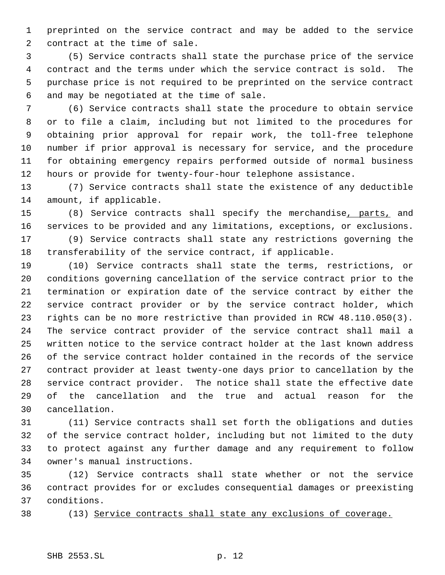preprinted on the service contract and may be added to the service contract at the time of sale.

 (5) Service contracts shall state the purchase price of the service contract and the terms under which the service contract is sold. The purchase price is not required to be preprinted on the service contract and may be negotiated at the time of sale.

 (6) Service contracts shall state the procedure to obtain service or to file a claim, including but not limited to the procedures for obtaining prior approval for repair work, the toll-free telephone number if prior approval is necessary for service, and the procedure for obtaining emergency repairs performed outside of normal business hours or provide for twenty-four-hour telephone assistance.

 (7) Service contracts shall state the existence of any deductible amount, if applicable.

 (8) Service contracts shall specify the merchandise, parts, and services to be provided and any limitations, exceptions, or exclusions.

 (9) Service contracts shall state any restrictions governing the transferability of the service contract, if applicable.

 (10) Service contracts shall state the terms, restrictions, or conditions governing cancellation of the service contract prior to the termination or expiration date of the service contract by either the service contract provider or by the service contract holder, which rights can be no more restrictive than provided in RCW 48.110.050(3). The service contract provider of the service contract shall mail a written notice to the service contract holder at the last known address of the service contract holder contained in the records of the service contract provider at least twenty-one days prior to cancellation by the service contract provider. The notice shall state the effective date of the cancellation and the true and actual reason for the cancellation.

 (11) Service contracts shall set forth the obligations and duties of the service contract holder, including but not limited to the duty to protect against any further damage and any requirement to follow owner's manual instructions.

 (12) Service contracts shall state whether or not the service contract provides for or excludes consequential damages or preexisting conditions.

(13) Service contracts shall state any exclusions of coverage.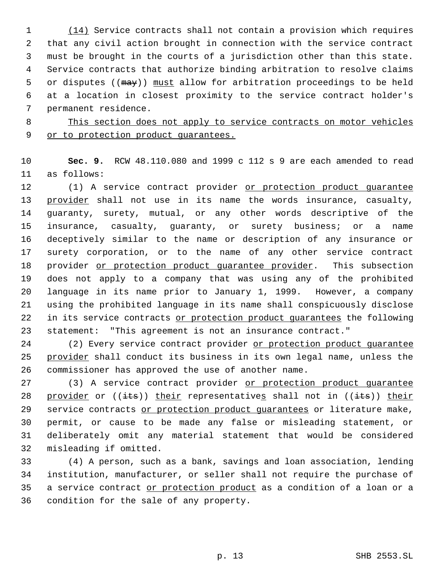(14) Service contracts shall not contain a provision which requires that any civil action brought in connection with the service contract must be brought in the courts of a jurisdiction other than this state. Service contracts that authorize binding arbitration to resolve claims 5 or disputes ((may)) must allow for arbitration proceedings to be held at a location in closest proximity to the service contract holder's permanent residence.

# This section does not apply to service contracts on motor vehicles 9 or to protection product quarantees.

 **Sec. 9.** RCW 48.110.080 and 1999 c 112 s 9 are each amended to read as follows:

12 (1) A service contract provider or protection product quarantee 13 provider shall not use in its name the words insurance, casualty, guaranty, surety, mutual, or any other words descriptive of the insurance, casualty, guaranty, or surety business; or a name deceptively similar to the name or description of any insurance or surety corporation, or to the name of any other service contract 18 provider or protection product quarantee provider. This subsection does not apply to a company that was using any of the prohibited language in its name prior to January 1, 1999. However, a company using the prohibited language in its name shall conspicuously disclose 22 in its service contracts or protection product quarantees the following statement: "This agreement is not an insurance contract."

24 (2) Every service contract provider or protection product quarantee 25 provider shall conduct its business in its own legal name, unless the commissioner has approved the use of another name.

27 (3) A service contract provider or protection product quarantee 28 provider or  $((its))$  their representatives shall not in  $((its))$  their 29 service contracts or protection product quarantees or literature make, permit, or cause to be made any false or misleading statement, or deliberately omit any material statement that would be considered misleading if omitted.

 (4) A person, such as a bank, savings and loan association, lending institution, manufacturer, or seller shall not require the purchase of a service contract or protection product as a condition of a loan or a condition for the sale of any property.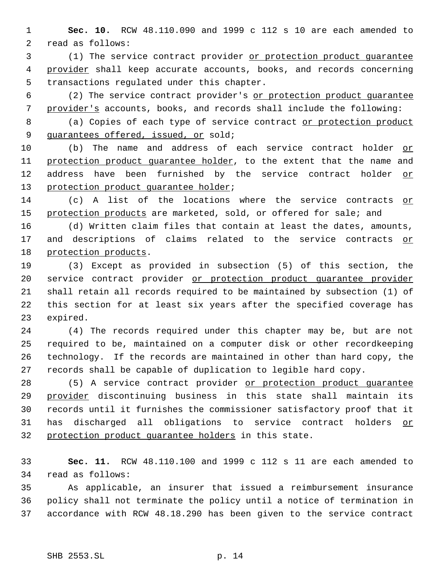**Sec. 10.** RCW 48.110.090 and 1999 c 112 s 10 are each amended to read as follows:

 (1) The service contract provider or protection product guarantee 4 provider shall keep accurate accounts, books, and records concerning transactions regulated under this chapter.

 (2) The service contract provider's or protection product guarantee provider's accounts, books, and records shall include the following:

8 (a) Copies of each type of service contract or protection product 9 guarantees offered, issued, or sold;

 (b) The name and address of each service contract holder or protection product guarantee holder, to the extent that the name and address have been furnished by the service contract holder or 13 protection product guarantee holder;

 (c) A list of the locations where the service contracts or 15 protection products are marketed, sold, or offered for sale; and

 (d) Written claim files that contain at least the dates, amounts, 17 and descriptions of claims related to the service contracts or protection products.

 (3) Except as provided in subsection (5) of this section, the 20 service contract provider or protection product quarantee provider shall retain all records required to be maintained by subsection (1) of this section for at least six years after the specified coverage has expired.

 (4) The records required under this chapter may be, but are not required to be, maintained on a computer disk or other recordkeeping technology. If the records are maintained in other than hard copy, the records shall be capable of duplication to legible hard copy.

28 (5) A service contract provider or protection product quarantee provider discontinuing business in this state shall maintain its records until it furnishes the commissioner satisfactory proof that it 31 has discharged all obligations to service contract holders or protection product guarantee holders in this state.

 **Sec. 11.** RCW 48.110.100 and 1999 c 112 s 11 are each amended to read as follows:

 As applicable, an insurer that issued a reimbursement insurance policy shall not terminate the policy until a notice of termination in accordance with RCW 48.18.290 has been given to the service contract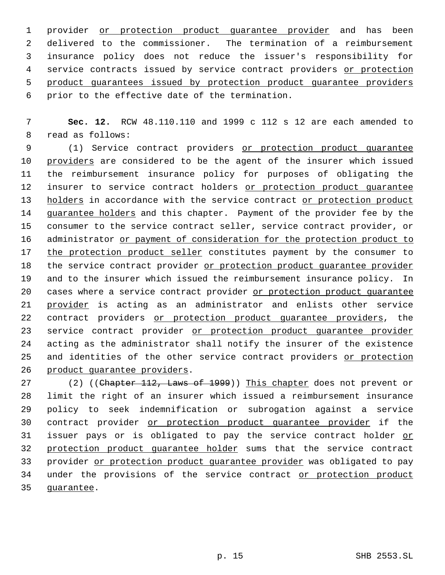1 provider or protection product guarantee provider and has been delivered to the commissioner. The termination of a reimbursement insurance policy does not reduce the issuer's responsibility for 4 service contracts issued by service contract providers or protection product guarantees issued by protection product guarantee providers prior to the effective date of the termination.

 7 **Sec. 12.** RCW 48.110.110 and 1999 c 112 s 12 are each amended to 8 read as follows:

 9 (1) Service contract providers or protection product guarantee 10 providers are considered to be the agent of the insurer which issued 11 the reimbursement insurance policy for purposes of obligating the 12 insurer to service contract holders or protection product quarantee 13 holders in accordance with the service contract or protection product 14 guarantee holders and this chapter. Payment of the provider fee by the 15 consumer to the service contract seller, service contract provider, or 16 administrator or payment of consideration for the protection product to 17 the protection product seller constitutes payment by the consumer to 18 the service contract provider or protection product quarantee provider 19 and to the insurer which issued the reimbursement insurance policy. In 20 cases where a service contract provider or protection product guarantee 21 provider is acting as an administrator and enlists other service 22 contract providers or protection product guarantee providers, the 23 service contract provider or protection product quarantee provider 24 acting as the administrator shall notify the insurer of the existence 25 and identities of the other service contract providers or protection 26 product guarantee providers.

27 (2) ((Chapter 112, Laws of 1999)) This chapter does not prevent or 28 limit the right of an insurer which issued a reimbursement insurance 29 policy to seek indemnification or subrogation against a service 30 contract provider or protection product guarantee provider if the 31 issuer pays or is obligated to pay the service contract holder or 32 protection product quarantee holder sums that the service contract 33 provider or protection product quarantee provider was obligated to pay 34 under the provisions of the service contract or protection product 35 guarantee.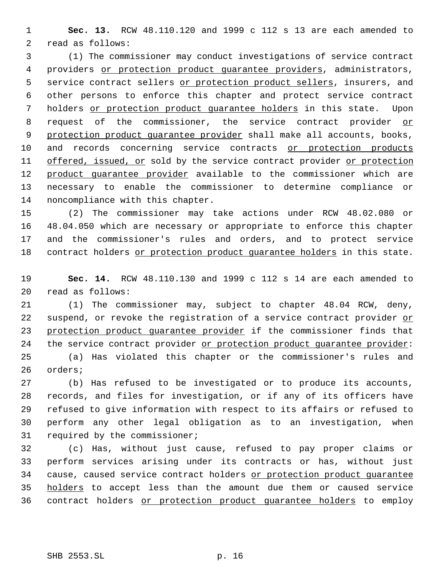**Sec. 13.** RCW 48.110.120 and 1999 c 112 s 13 are each amended to read as follows:

 (1) The commissioner may conduct investigations of service contract 4 providers or protection product quarantee providers, administrators, 5 service contract sellers or protection product sellers, insurers, and other persons to enforce this chapter and protect service contract holders or protection product guarantee holders in this state. Upon request of the commissioner, the service contract provider or 9 protection product quarantee provider shall make all accounts, books, and records concerning service contracts or protection products 11 offered, issued, or sold by the service contract provider or protection 12 product quarantee provider available to the commissioner which are necessary to enable the commissioner to determine compliance or noncompliance with this chapter.

 (2) The commissioner may take actions under RCW 48.02.080 or 48.04.050 which are necessary or appropriate to enforce this chapter and the commissioner's rules and orders, and to protect service 18 contract holders or protection product quarantee holders in this state.

 **Sec. 14.** RCW 48.110.130 and 1999 c 112 s 14 are each amended to read as follows:

 (1) The commissioner may, subject to chapter 48.04 RCW, deny, 22 suspend, or revoke the registration of a service contract provider or 23 protection product quarantee provider if the commissioner finds that the service contract provider or protection product guarantee provider: (a) Has violated this chapter or the commissioner's rules and orders;

 (b) Has refused to be investigated or to produce its accounts, records, and files for investigation, or if any of its officers have refused to give information with respect to its affairs or refused to perform any other legal obligation as to an investigation, when required by the commissioner;

 (c) Has, without just cause, refused to pay proper claims or perform services arising under its contracts or has, without just 34 cause, caused service contract holders or protection product quarantee 35 holders to accept less than the amount due them or caused service contract holders or protection product guarantee holders to employ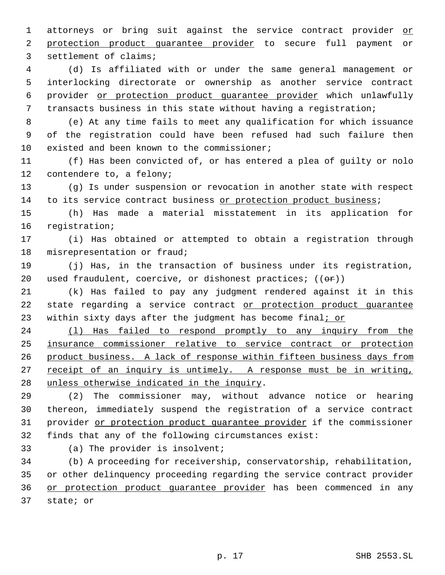1 attorneys or bring suit against the service contract provider or protection product guarantee provider to secure full payment or settlement of claims;

 (d) Is affiliated with or under the same general management or interlocking directorate or ownership as another service contract provider or protection product guarantee provider which unlawfully transacts business in this state without having a registration;

 (e) At any time fails to meet any qualification for which issuance of the registration could have been refused had such failure then existed and been known to the commissioner;

 (f) Has been convicted of, or has entered a plea of guilty or nolo contendere to, a felony;

 (g) Is under suspension or revocation in another state with respect 14 to its service contract business or protection product business;

 (h) Has made a material misstatement in its application for registration;

 (i) Has obtained or attempted to obtain a registration through misrepresentation or fraud;

 (j) Has, in the transaction of business under its registration, 20 used fraudulent, coercive, or dishonest practices;  $((\theta \hat{r}))$ 

 (k) Has failed to pay any judgment rendered against it in this 22 state regarding a service contract or protection product quarantee 23 within sixty days after the judgment has become final; or

24 (1) Has failed to respond promptly to any inquiry from the insurance commissioner relative to service contract or protection product business. A lack of response within fifteen business days from 27 receipt of an inquiry is untimely. A response must be in writing, unless otherwise indicated in the inquiry.

 (2) The commissioner may, without advance notice or hearing thereon, immediately suspend the registration of a service contract 31 provider or protection product quarantee provider if the commissioner finds that any of the following circumstances exist:

(a) The provider is insolvent;

 (b) A proceeding for receivership, conservatorship, rehabilitation, or other delinquency proceeding regarding the service contract provider or protection product guarantee provider has been commenced in any state; or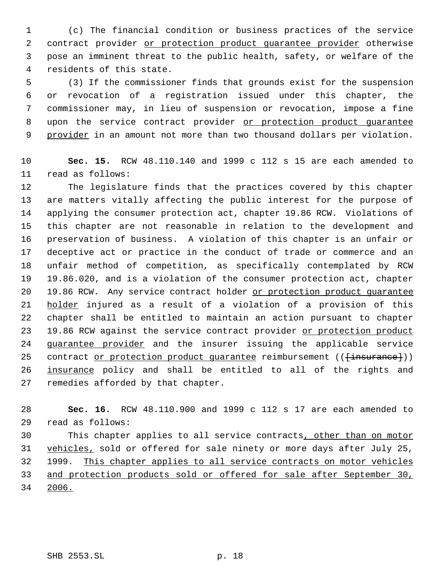(c) The financial condition or business practices of the service 2 contract provider or protection product quarantee provider otherwise pose an imminent threat to the public health, safety, or welfare of the residents of this state.

 (3) If the commissioner finds that grounds exist for the suspension or revocation of a registration issued under this chapter, the commissioner may, in lieu of suspension or revocation, impose a fine 8 upon the service contract provider or protection product quarantee 9 provider in an amount not more than two thousand dollars per violation.

 **Sec. 15.** RCW 48.110.140 and 1999 c 112 s 15 are each amended to read as follows:

 The legislature finds that the practices covered by this chapter are matters vitally affecting the public interest for the purpose of applying the consumer protection act, chapter 19.86 RCW. Violations of this chapter are not reasonable in relation to the development and preservation of business. A violation of this chapter is an unfair or deceptive act or practice in the conduct of trade or commerce and an unfair method of competition, as specifically contemplated by RCW 19.86.020, and is a violation of the consumer protection act, chapter 19.86 RCW. Any service contract holder or protection product guarantee 21 holder injured as a result of a violation of a provision of this chapter shall be entitled to maintain an action pursuant to chapter 23 19.86 RCW against the service contract provider or protection product 24 guarantee provider and the insurer issuing the applicable service 25 contract or protection product quarantee reimbursement (( $\{\text{in} \text{surance}\})$ ) 26 insurance policy and shall be entitled to all of the rights and remedies afforded by that chapter.

 **Sec. 16.** RCW 48.110.900 and 1999 c 112 s 17 are each amended to read as follows:

30 This chapter applies to all service contracts, other than on motor 31 vehicles, sold or offered for sale ninety or more days after July 25, 1999. This chapter applies to all service contracts on motor vehicles and protection products sold or offered for sale after September 30, 2006.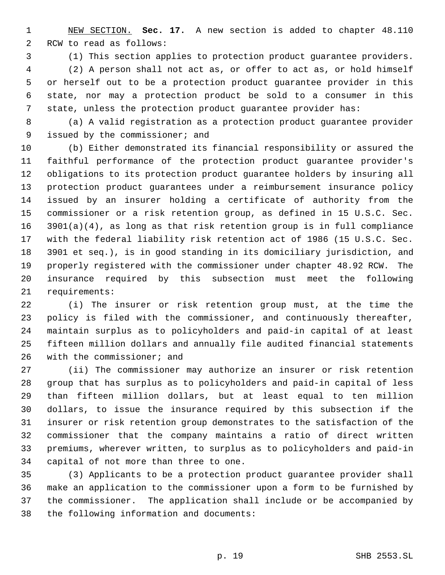NEW SECTION. **Sec. 17.** A new section is added to chapter 48.110 RCW to read as follows:

(1) This section applies to protection product guarantee providers.

 (2) A person shall not act as, or offer to act as, or hold himself or herself out to be a protection product guarantee provider in this state, nor may a protection product be sold to a consumer in this state, unless the protection product guarantee provider has:

 (a) A valid registration as a protection product guarantee provider issued by the commissioner; and

 (b) Either demonstrated its financial responsibility or assured the faithful performance of the protection product guarantee provider's obligations to its protection product guarantee holders by insuring all protection product guarantees under a reimbursement insurance policy issued by an insurer holding a certificate of authority from the commissioner or a risk retention group, as defined in 15 U.S.C. Sec. 3901(a)(4), as long as that risk retention group is in full compliance with the federal liability risk retention act of 1986 (15 U.S.C. Sec. 3901 et seq.), is in good standing in its domiciliary jurisdiction, and properly registered with the commissioner under chapter 48.92 RCW. The insurance required by this subsection must meet the following requirements:

 (i) The insurer or risk retention group must, at the time the policy is filed with the commissioner, and continuously thereafter, maintain surplus as to policyholders and paid-in capital of at least fifteen million dollars and annually file audited financial statements with the commissioner; and

 (ii) The commissioner may authorize an insurer or risk retention group that has surplus as to policyholders and paid-in capital of less than fifteen million dollars, but at least equal to ten million dollars, to issue the insurance required by this subsection if the insurer or risk retention group demonstrates to the satisfaction of the commissioner that the company maintains a ratio of direct written premiums, wherever written, to surplus as to policyholders and paid-in capital of not more than three to one.

 (3) Applicants to be a protection product guarantee provider shall make an application to the commissioner upon a form to be furnished by the commissioner. The application shall include or be accompanied by the following information and documents: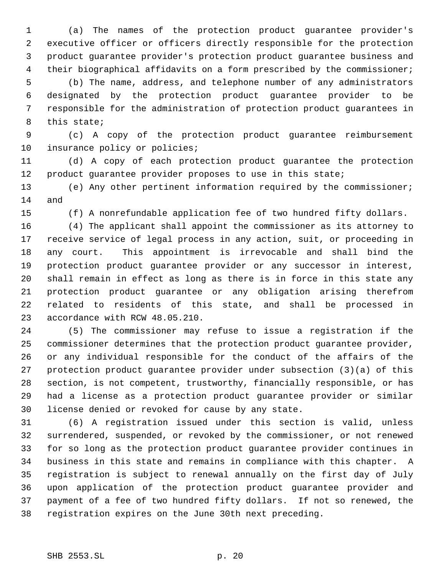(a) The names of the protection product guarantee provider's executive officer or officers directly responsible for the protection product guarantee provider's protection product guarantee business and their biographical affidavits on a form prescribed by the commissioner; (b) The name, address, and telephone number of any administrators designated by the protection product guarantee provider to be responsible for the administration of protection product guarantees in this state;

 (c) A copy of the protection product guarantee reimbursement 10 insurance policy or policies;

 (d) A copy of each protection product guarantee the protection product guarantee provider proposes to use in this state;

 (e) Any other pertinent information required by the commissioner; and

(f) A nonrefundable application fee of two hundred fifty dollars.

 (4) The applicant shall appoint the commissioner as its attorney to receive service of legal process in any action, suit, or proceeding in any court. This appointment is irrevocable and shall bind the protection product guarantee provider or any successor in interest, shall remain in effect as long as there is in force in this state any protection product guarantee or any obligation arising therefrom related to residents of this state, and shall be processed in accordance with RCW 48.05.210.

 (5) The commissioner may refuse to issue a registration if the commissioner determines that the protection product guarantee provider, or any individual responsible for the conduct of the affairs of the protection product guarantee provider under subsection (3)(a) of this section, is not competent, trustworthy, financially responsible, or has had a license as a protection product guarantee provider or similar license denied or revoked for cause by any state.

 (6) A registration issued under this section is valid, unless surrendered, suspended, or revoked by the commissioner, or not renewed for so long as the protection product guarantee provider continues in business in this state and remains in compliance with this chapter. A registration is subject to renewal annually on the first day of July upon application of the protection product guarantee provider and payment of a fee of two hundred fifty dollars. If not so renewed, the registration expires on the June 30th next preceding.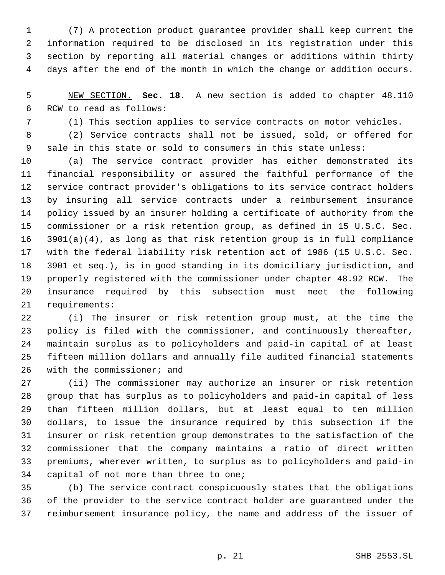(7) A protection product guarantee provider shall keep current the information required to be disclosed in its registration under this section by reporting all material changes or additions within thirty days after the end of the month in which the change or addition occurs.

 NEW SECTION. **Sec. 18.** A new section is added to chapter 48.110 RCW to read as follows:

(1) This section applies to service contracts on motor vehicles.

 (2) Service contracts shall not be issued, sold, or offered for sale in this state or sold to consumers in this state unless:

 (a) The service contract provider has either demonstrated its financial responsibility or assured the faithful performance of the service contract provider's obligations to its service contract holders by insuring all service contracts under a reimbursement insurance policy issued by an insurer holding a certificate of authority from the commissioner or a risk retention group, as defined in 15 U.S.C. Sec. 3901(a)(4), as long as that risk retention group is in full compliance with the federal liability risk retention act of 1986 (15 U.S.C. Sec. 3901 et seq.), is in good standing in its domiciliary jurisdiction, and properly registered with the commissioner under chapter 48.92 RCW. The insurance required by this subsection must meet the following requirements:

 (i) The insurer or risk retention group must, at the time the policy is filed with the commissioner, and continuously thereafter, maintain surplus as to policyholders and paid-in capital of at least fifteen million dollars and annually file audited financial statements with the commissioner; and

 (ii) The commissioner may authorize an insurer or risk retention group that has surplus as to policyholders and paid-in capital of less than fifteen million dollars, but at least equal to ten million dollars, to issue the insurance required by this subsection if the insurer or risk retention group demonstrates to the satisfaction of the commissioner that the company maintains a ratio of direct written premiums, wherever written, to surplus as to policyholders and paid-in capital of not more than three to one;

 (b) The service contract conspicuously states that the obligations of the provider to the service contract holder are guaranteed under the reimbursement insurance policy, the name and address of the issuer of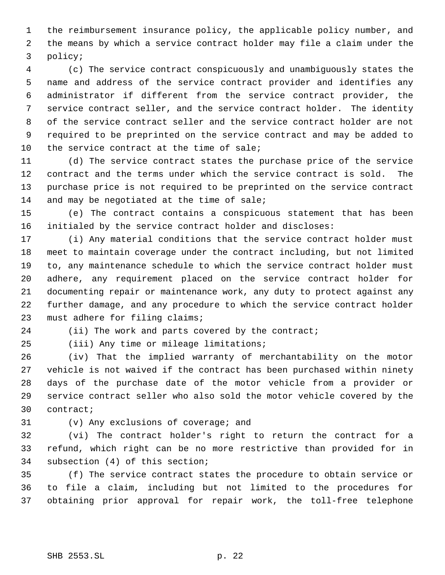the reimbursement insurance policy, the applicable policy number, and the means by which a service contract holder may file a claim under the policy;

 (c) The service contract conspicuously and unambiguously states the name and address of the service contract provider and identifies any administrator if different from the service contract provider, the service contract seller, and the service contract holder. The identity of the service contract seller and the service contract holder are not required to be preprinted on the service contract and may be added to 10 the service contract at the time of sale;

 (d) The service contract states the purchase price of the service contract and the terms under which the service contract is sold. The purchase price is not required to be preprinted on the service contract 14 and may be negotiated at the time of sale;

 (e) The contract contains a conspicuous statement that has been initialed by the service contract holder and discloses:

 (i) Any material conditions that the service contract holder must meet to maintain coverage under the contract including, but not limited to, any maintenance schedule to which the service contract holder must adhere, any requirement placed on the service contract holder for documenting repair or maintenance work, any duty to protect against any further damage, and any procedure to which the service contract holder must adhere for filing claims;

24 (ii) The work and parts covered by the contract;

(iii) Any time or mileage limitations;

 (iv) That the implied warranty of merchantability on the motor vehicle is not waived if the contract has been purchased within ninety days of the purchase date of the motor vehicle from a provider or service contract seller who also sold the motor vehicle covered by the contract;

(v) Any exclusions of coverage; and

 (vi) The contract holder's right to return the contract for a refund, which right can be no more restrictive than provided for in subsection (4) of this section;

 (f) The service contract states the procedure to obtain service or to file a claim, including but not limited to the procedures for obtaining prior approval for repair work, the toll-free telephone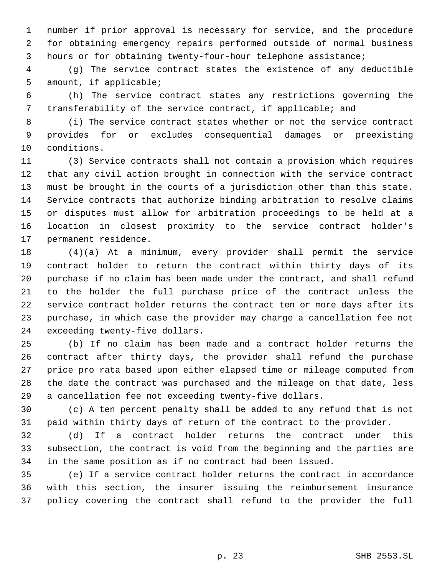number if prior approval is necessary for service, and the procedure for obtaining emergency repairs performed outside of normal business hours or for obtaining twenty-four-hour telephone assistance;

 (g) The service contract states the existence of any deductible amount, if applicable;

 (h) The service contract states any restrictions governing the transferability of the service contract, if applicable; and

 (i) The service contract states whether or not the service contract provides for or excludes consequential damages or preexisting conditions.

 (3) Service contracts shall not contain a provision which requires that any civil action brought in connection with the service contract must be brought in the courts of a jurisdiction other than this state. Service contracts that authorize binding arbitration to resolve claims or disputes must allow for arbitration proceedings to be held at a location in closest proximity to the service contract holder's permanent residence.

 (4)(a) At a minimum, every provider shall permit the service contract holder to return the contract within thirty days of its purchase if no claim has been made under the contract, and shall refund to the holder the full purchase price of the contract unless the service contract holder returns the contract ten or more days after its purchase, in which case the provider may charge a cancellation fee not exceeding twenty-five dollars.

 (b) If no claim has been made and a contract holder returns the contract after thirty days, the provider shall refund the purchase price pro rata based upon either elapsed time or mileage computed from the date the contract was purchased and the mileage on that date, less a cancellation fee not exceeding twenty-five dollars.

 (c) A ten percent penalty shall be added to any refund that is not paid within thirty days of return of the contract to the provider.

 (d) If a contract holder returns the contract under this subsection, the contract is void from the beginning and the parties are in the same position as if no contract had been issued.

 (e) If a service contract holder returns the contract in accordance with this section, the insurer issuing the reimbursement insurance policy covering the contract shall refund to the provider the full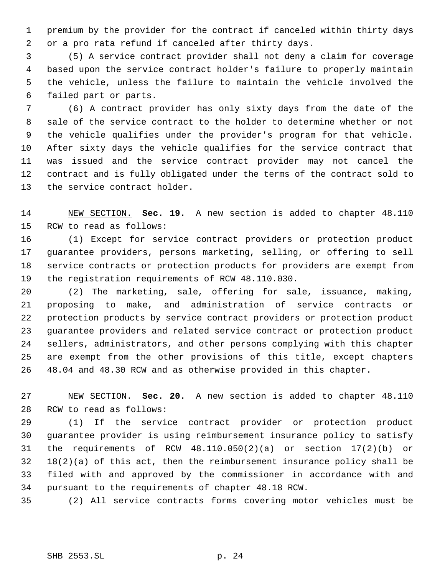premium by the provider for the contract if canceled within thirty days or a pro rata refund if canceled after thirty days.

 (5) A service contract provider shall not deny a claim for coverage based upon the service contract holder's failure to properly maintain the vehicle, unless the failure to maintain the vehicle involved the failed part or parts.

 (6) A contract provider has only sixty days from the date of the sale of the service contract to the holder to determine whether or not the vehicle qualifies under the provider's program for that vehicle. After sixty days the vehicle qualifies for the service contract that was issued and the service contract provider may not cancel the contract and is fully obligated under the terms of the contract sold to the service contract holder.

 NEW SECTION. **Sec. 19.** A new section is added to chapter 48.110 RCW to read as follows:

 (1) Except for service contract providers or protection product guarantee providers, persons marketing, selling, or offering to sell service contracts or protection products for providers are exempt from the registration requirements of RCW 48.110.030.

 (2) The marketing, sale, offering for sale, issuance, making, proposing to make, and administration of service contracts or protection products by service contract providers or protection product guarantee providers and related service contract or protection product sellers, administrators, and other persons complying with this chapter are exempt from the other provisions of this title, except chapters 48.04 and 48.30 RCW and as otherwise provided in this chapter.

 NEW SECTION. **Sec. 20.** A new section is added to chapter 48.110 RCW to read as follows:

 (1) If the service contract provider or protection product guarantee provider is using reimbursement insurance policy to satisfy the requirements of RCW 48.110.050(2)(a) or section 17(2)(b) or 18(2)(a) of this act, then the reimbursement insurance policy shall be filed with and approved by the commissioner in accordance with and pursuant to the requirements of chapter 48.18 RCW.

(2) All service contracts forms covering motor vehicles must be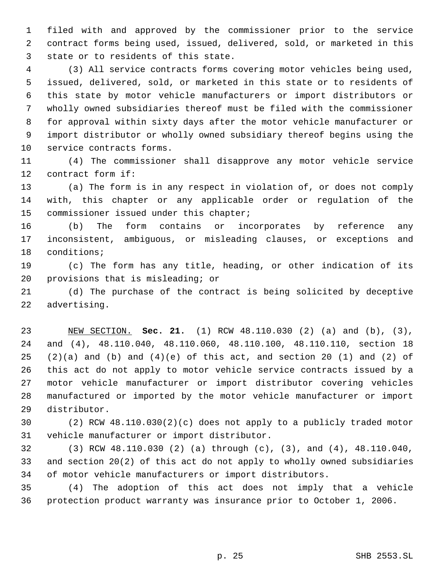filed with and approved by the commissioner prior to the service contract forms being used, issued, delivered, sold, or marketed in this state or to residents of this state.

 (3) All service contracts forms covering motor vehicles being used, issued, delivered, sold, or marketed in this state or to residents of this state by motor vehicle manufacturers or import distributors or wholly owned subsidiaries thereof must be filed with the commissioner for approval within sixty days after the motor vehicle manufacturer or import distributor or wholly owned subsidiary thereof begins using the service contracts forms.

 (4) The commissioner shall disapprove any motor vehicle service contract form if:

 (a) The form is in any respect in violation of, or does not comply with, this chapter or any applicable order or regulation of the 15 commissioner issued under this chapter;

 (b) The form contains or incorporates by reference any inconsistent, ambiguous, or misleading clauses, or exceptions and conditions;

 (c) The form has any title, heading, or other indication of its provisions that is misleading; or

 (d) The purchase of the contract is being solicited by deceptive advertising.

 NEW SECTION. **Sec. 21.** (1) RCW 48.110.030 (2) (a) and (b), (3), and (4), 48.110.040, 48.110.060, 48.110.100, 48.110.110, section 18  $(2)(a)$  and  $(b)$  and  $(4)(e)$  of this act, and section 20  $(1)$  and  $(2)$  of this act do not apply to motor vehicle service contracts issued by a motor vehicle manufacturer or import distributor covering vehicles manufactured or imported by the motor vehicle manufacturer or import distributor.

 (2) RCW 48.110.030(2)(c) does not apply to a publicly traded motor vehicle manufacturer or import distributor.

 (3) RCW 48.110.030 (2) (a) through (c), (3), and (4), 48.110.040, and section 20(2) of this act do not apply to wholly owned subsidiaries of motor vehicle manufacturers or import distributors.

 (4) The adoption of this act does not imply that a vehicle protection product warranty was insurance prior to October 1, 2006.